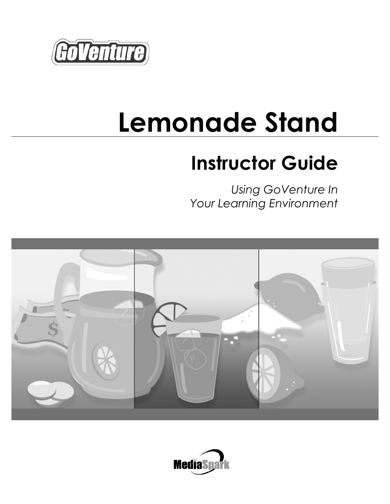

# **Lemonade Stand**

# **Instructor Guide**

*Using GoVenture In Your Learning Environment* 



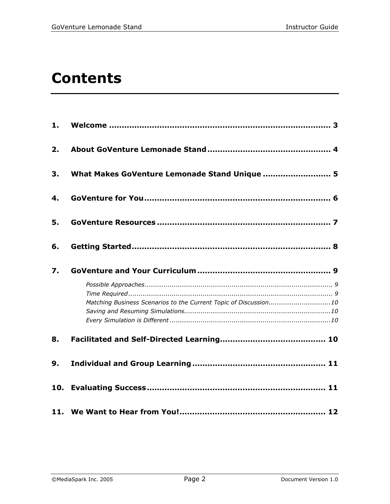# **Contents**

| 1. |                                                                  |
|----|------------------------------------------------------------------|
| 2. |                                                                  |
| 3. | What Makes GoVenture Lemonade Stand Unique  5                    |
| 4. |                                                                  |
| 5. |                                                                  |
| 6. |                                                                  |
| 7. |                                                                  |
|    | Matching Business Scenarios to the Current Topic of Discussion10 |
| 8. |                                                                  |
| 9. |                                                                  |
|    |                                                                  |
|    |                                                                  |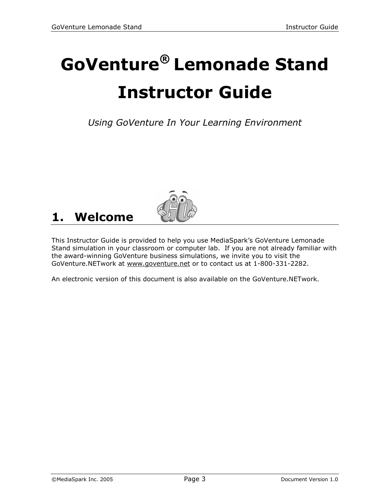# **GoVenture® Lemonade Stand Instructor Guide**

*Using GoVenture In Your Learning Environment* 



# **1. Welcome**

This Instructor Guide is provided to help you use MediaSpark's GoVenture Lemonade Stand simulation in your classroom or computer lab. If you are not already familiar with the award-winning GoVenture business simulations, we invite you to visit the GoVenture.NETwork at www.goventure.net or to contact us at 1-800-331-2282.

An electronic version of this document is also available on the GoVenture.NETwork.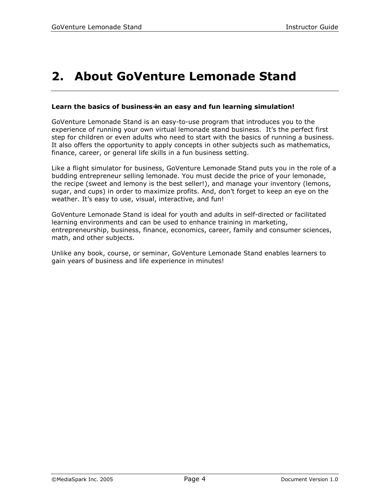# **2. About GoVenture Lemonade Stand**

#### **Learn the basics of business**=**in an easy and fun learning simulation!**

GoVenture Lemonade Stand is an easy-to-use program that introduces you to the experience of running your own virtual lemonade stand business. It's the perfect first step for children or even adults who need to start with the basics of running a business. It also offers the opportunity to apply concepts in other subjects such as mathematics, finance, career, or general life skills in a fun business setting.

Like a flight simulator for business, GoVenture Lemonade Stand puts you in the role of a budding entrepreneur selling lemonade. You must decide the price of your lemonade, the recipe (sweet and lemony is the best seller!), and manage your inventory (lemons, sugar, and cups) in order to maximize profits. And, don't forget to keep an eye on the weather. It's easy to use, visual, interactive, and fun!

GoVenture Lemonade Stand is ideal for youth and adults in self-directed or facilitated learning environments and can be used to enhance training in marketing, entrepreneurship, business, finance, economics, career, family and consumer sciences, math, and other subjects.

Unlike any book, course, or seminar, GoVenture Lemonade Stand enables learners to gain years of business and life experience in minutes!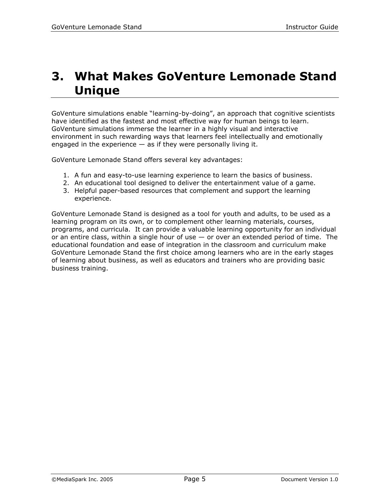# **3. What Makes GoVenture Lemonade Stand Unique**

GoVenture simulations enable "learning-by-doing", an approach that cognitive scientists have identified as the fastest and most effective way for human beings to learn. GoVenture simulations immerse the learner in a highly visual and interactive environment in such rewarding ways that learners feel intellectually and emotionally engaged in the experience  $-$  as if they were personally living it.

GoVenture Lemonade Stand offers several key advantages:

- 1. A fun and easy-to-use learning experience to learn the basics of business.
- 2. An educational tool designed to deliver the entertainment value of a game.
- 3. Helpful paper-based resources that complement and support the learning experience.

GoVenture Lemonade Stand is designed as a tool for youth and adults, to be used as a learning program on its own, or to complement other learning materials, courses, programs, and curricula. It can provide a valuable learning opportunity for an individual or an entire class, within a single hour of use  $-$  or over an extended period of time. The educational foundation and ease of integration in the classroom and curriculum make GoVenture Lemonade Stand the first choice among learners who are in the early stages of learning about business, as well as educators and trainers who are providing basic business training.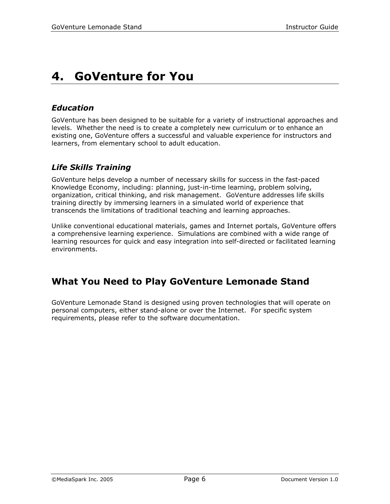# **4. GoVenture for You**

### *Education*

GoVenture has been designed to be suitable for a variety of instructional approaches and levels. Whether the need is to create a completely new curriculum or to enhance an existing one, GoVenture offers a successful and valuable experience for instructors and learners, from elementary school to adult education.

### *Life Skills Training*

GoVenture helps develop a number of necessary skills for success in the fast-paced Knowledge Economy, including: planning, just-in-time learning, problem solving, organization, critical thinking, and risk management. GoVenture addresses life skills training directly by immersing learners in a simulated world of experience that transcends the limitations of traditional teaching and learning approaches.

Unlike conventional educational materials, games and Internet portals, GoVenture offers a comprehensive learning experience. Simulations are combined with a wide range of learning resources for quick and easy integration into self-directed or facilitated learning environments.

### **What You Need to Play GoVenture Lemonade Stand**

GoVenture Lemonade Stand is designed using proven technologies that will operate on personal computers, either stand-alone or over the Internet. For specific system requirements, please refer to the software documentation.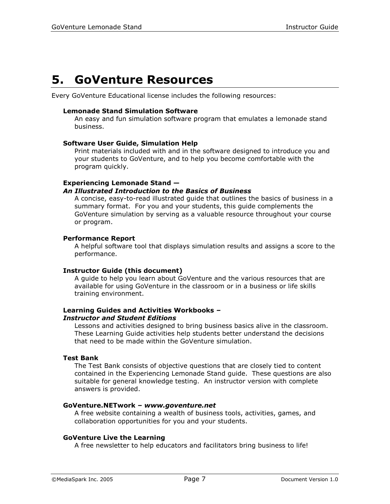## **5. GoVenture Resources**

Every GoVenture Educational license includes the following resources:

#### **Lemonade Stand Simulation Software**

An easy and fun simulation software program that emulates a lemonade stand business.

#### **Software User Guide, Simulation Help**

Print materials included with and in the software designed to introduce you and your students to GoVenture, and to help you become comfortable with the program quickly.

#### **Experiencing Lemonade Stand —**

#### *An Illustrated Introduction to the Basics of Business*

A concise, easy-to-read illustrated guide that outlines the basics of business in a summary format. For you and your students, this guide complements the GoVenture simulation by serving as a valuable resource throughout your course or program.

#### **Performance Report**

A helpful software tool that displays simulation results and assigns a score to the performance.

#### **Instructor Guide (this document)**

A guide to help you learn about GoVenture and the various resources that are available for using GoVenture in the classroom or in a business or life skills training environment.

#### **Learning Guides and Activities Workbooks** *–*

#### *Instructor and Student Editions*

Lessons and activities designed to bring business basics alive in the classroom. These Learning Guide activities help students better understand the decisions that need to be made within the GoVenture simulation.

#### **Test Bank**

The Test Bank consists of objective questions that are closely tied to content contained in the Experiencing Lemonade Stand guide. These questions are also suitable for general knowledge testing. An instructor version with complete answers is provided.

#### **GoVenture.NETwork** *– www.goventure.net*

A free website containing a wealth of business tools, activities, games, and collaboration opportunities for you and your students.

#### **GoVenture Live the Learning**

A free newsletter to help educators and facilitators bring business to life!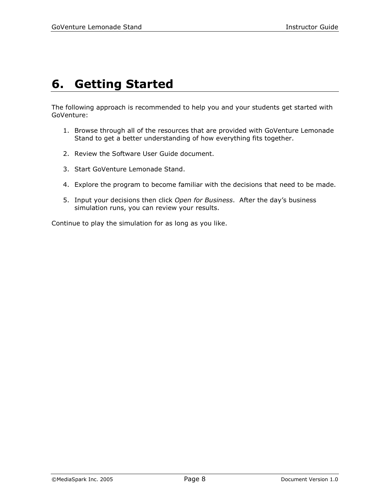# **6. Getting Started**

The following approach is recommended to help you and your students get started with GoVenture:

- 1. Browse through all of the resources that are provided with GoVenture Lemonade Stand to get a better understanding of how everything fits together.
- 2. Review the Software User Guide document.
- 3. Start GoVenture Lemonade Stand.
- 4. Explore the program to become familiar with the decisions that need to be made.
- 5. Input your decisions then click *Open for Business*. After the day's business simulation runs, you can review your results.

Continue to play the simulation for as long as you like.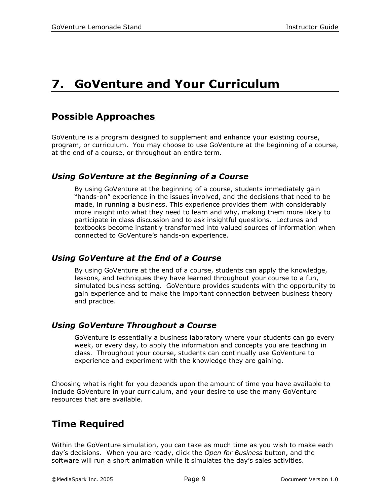# **7. GoVenture and Your Curriculum**

### **Possible Approaches**

GoVenture is a program designed to supplement and enhance your existing course, program, or curriculum. You may choose to use GoVenture at the beginning of a course, at the end of a course, or throughout an entire term.

### *Using GoVenture at the Beginning of a Course*

By using GoVenture at the beginning of a course, students immediately gain "hands-on" experience in the issues involved, and the decisions that need to be made, in running a business. This experience provides them with considerably more insight into what they need to learn and why, making them more likely to participate in class discussion and to ask insightful questions. Lectures and textbooks become instantly transformed into valued sources of information when connected to GoVenture's hands-on experience.

### *Using GoVenture at the End of a Course*

By using GoVenture at the end of a course, students can apply the knowledge, lessons, and techniques they have learned throughout your course to a fun, simulated business setting. GoVenture provides students with the opportunity to gain experience and to make the important connection between business theory and practice.

### *Using GoVenture Throughout a Course*

GoVenture is essentially a business laboratory where your students can go every week, or every day, to apply the information and concepts you are teaching in class. Throughout your course, students can continually use GoVenture to experience and experiment with the knowledge they are gaining.

Choosing what is right for you depends upon the amount of time you have available to include GoVenture in your curriculum, and your desire to use the many GoVenture resources that are available.

### **Time Required**

Within the GoVenture simulation, you can take as much time as you wish to make each day's decisions. When you are ready, click the *Open for Business* button, and the software will run a short animation while it simulates the day's sales activities.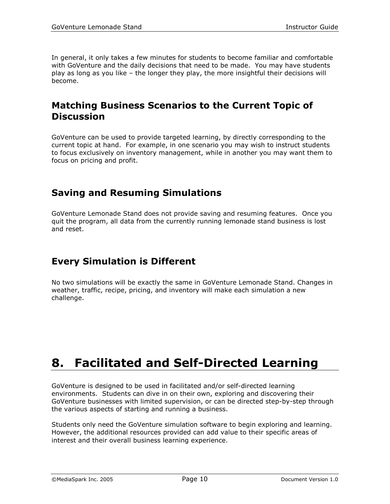In general, it only takes a few minutes for students to become familiar and comfortable with GoVenture and the daily decisions that need to be made. You may have students play as long as you like – the longer they play, the more insightful their decisions will become.

### **Matching Business Scenarios to the Current Topic of Discussion**

GoVenture can be used to provide targeted learning, by directly corresponding to the current topic at hand. For example, in one scenario you may wish to instruct students to focus exclusively on inventory management, while in another you may want them to focus on pricing and profit.

### **Saving and Resuming Simulations**

GoVenture Lemonade Stand does not provide saving and resuming features. Once you quit the program, all data from the currently running lemonade stand business is lost and reset.

### **Every Simulation is Different**

No two simulations will be exactly the same in GoVenture Lemonade Stand. Changes in weather, traffic, recipe, pricing, and inventory will make each simulation a new challenge.

# **8. Facilitated and Self-Directed Learning**

GoVenture is designed to be used in facilitated and/or self-directed learning environments. Students can dive in on their own, exploring and discovering their GoVenture businesses with limited supervision, or can be directed step-by-step through the various aspects of starting and running a business.

Students only need the GoVenture simulation software to begin exploring and learning. However, the additional resources provided can add value to their specific areas of interest and their overall business learning experience.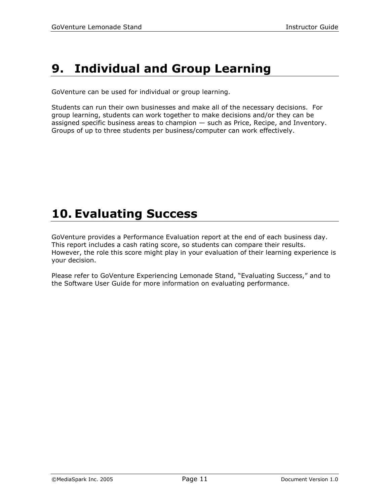# **9. Individual and Group Learning**

GoVenture can be used for individual or group learning.

Students can run their own businesses and make all of the necessary decisions. For group learning, students can work together to make decisions and/or they can be assigned specific business areas to champion — such as Price, Recipe, and Inventory. Groups of up to three students per business/computer can work effectively.

# **10. Evaluating Success**

GoVenture provides a Performance Evaluation report at the end of each business day. This report includes a cash rating score, so students can compare their results. However, the role this score might play in your evaluation of their learning experience is your decision.

Please refer to GoVenture Experiencing Lemonade Stand, "Evaluating Success," and to the Software User Guide for more information on evaluating performance.